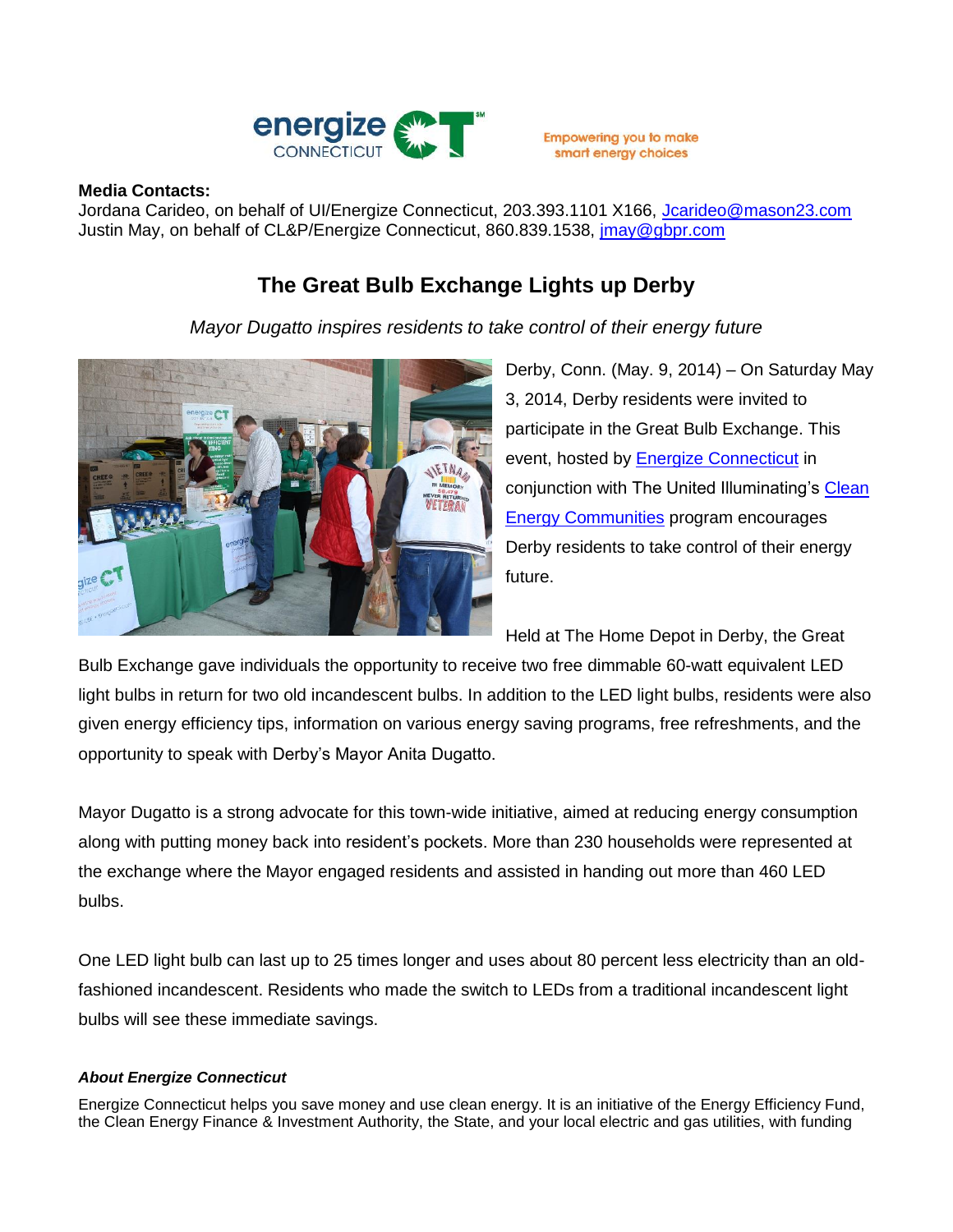

**Empowering you to make** smart energy choices

## **Media Contacts:**

Jordana Carideo, on behalf of UI/Energize Connecticut, 203.393.1101 X166, [Jcarideo@mason23.com](mailto:Jcarideo@mason23.com) Justin May, on behalf of CL&P/Energize Connecticut, 860.839.1538, *jmay@gbpr.com* 

## **The Great Bulb Exchange Lights up Derby**

*Mayor Dugatto inspires residents to take control of their energy future*



Derby, Conn. (May. 9, 2014) – On Saturday May 3, 2014, Derby residents were invited to participate in the Great Bulb Exchange. This event, hosted by **Energize Connecticut** in conjunction with The United Illuminating's [Clean](http://www.energizect.com/communities/)  [Energy Communities](http://www.energizect.com/communities/) program encourages Derby residents to take control of their energy future.

Held at The Home Depot in Derby, the Great

Bulb Exchange gave individuals the opportunity to receive two free dimmable 60-watt equivalent LED light bulbs in return for two old incandescent bulbs. In addition to the LED light bulbs, residents were also given energy efficiency tips, information on various energy saving programs, free refreshments, and the opportunity to speak with Derby's Mayor Anita Dugatto.

Mayor Dugatto is a strong advocate for this town-wide initiative, aimed at reducing energy consumption along with putting money back into resident's pockets. More than 230 households were represented at the exchange where the Mayor engaged residents and assisted in handing out more than 460 LED bulbs.

One LED light bulb can last up to 25 times longer and uses about 80 percent less electricity than an oldfashioned incandescent. Residents who made the switch to LEDs from a traditional incandescent light bulbs will see these immediate savings.

## *About Energize Connecticut*

Energize Connecticut helps you save money and use clean energy. It is an initiative of the Energy Efficiency Fund, the Clean Energy Finance & Investment Authority, the State, and your local electric and gas utilities, with funding